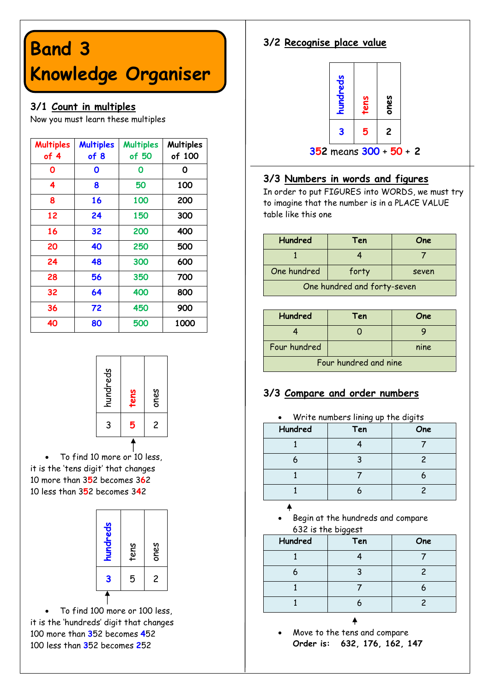## **Band 3**

# **Knowledge Organiser**

## **3/1 Count in multiples**

Now you must learn these multiples

| <b>Multiples</b><br>of 4 | <b>Multiples</b><br>of <sub>8</sub> | <b>Multiples</b><br>of 50 | <b>Multiples</b><br>of 100 |
|--------------------------|-------------------------------------|---------------------------|----------------------------|
| Ο                        | 0                                   | 0                         | 0                          |
| 4                        | 8                                   | 50                        | 100                        |
| 8                        | 16                                  | 100                       | 200                        |
| 12                       | 24                                  | 150                       | 300                        |
| 16                       | 32                                  | 200                       | 400                        |
| 20                       | 40                                  | 250                       | 500                        |
| 24                       | 48                                  | 300                       | 600                        |
| 28                       | 56                                  | 350                       | 700                        |
| 32                       | 64                                  | 400                       | 800                        |
| 36                       | 72                                  | 450                       | 900                        |
| 40                       | 80                                  | 500                       | 1000                       |



 To find 10 more or 10 less, it is the 'tens digit' that changes 10 more than 3**5**2 becomes 3**6**2 10 less than 3**5**2 becomes 3**4**2



 To find 100 more or 100 less, it is the 'hundreds' digit that changes 100 more than **3**52 becomes **4**52 100 less than **3**52 becomes **2**52

#### **3/2 Recognise place value**



#### **3/3 Numbers in words and figures**

In order to put FIGURES into WORDS, we must try to imagine that the number is in a PLACE VALUE table like this one

| <b>Hundred</b> | Ten                         | One   |
|----------------|-----------------------------|-------|
|                |                             |       |
| One hundred    | forty                       | seven |
|                | One hundred and forty-seven |       |

**Hundred Ten One** 4 0 9 Four hundred **nine** 

Four hundred and nine

#### **3/3 Compare and order numbers**

Write numbers lining up the digits

| Hundred | Ten | One |
|---------|-----|-----|
|         |     |     |
|         |     |     |
|         |     |     |
|         |     |     |

 $\blacktriangle$ 

 Begin at the hundreds and compare 632 is the biggest

| Hundred | Ten    | One |
|---------|--------|-----|
|         |        |     |
|         |        |     |
|         |        |     |
|         |        |     |
|         | $\sim$ |     |

 Move to the tens and compare **Order is: 632, 176, 162, 147**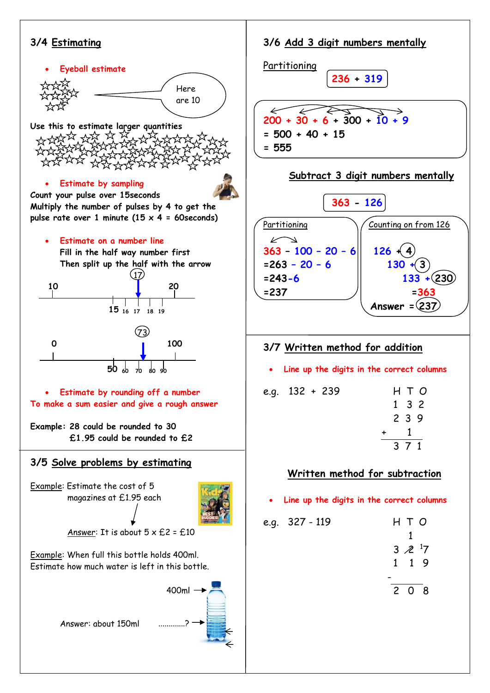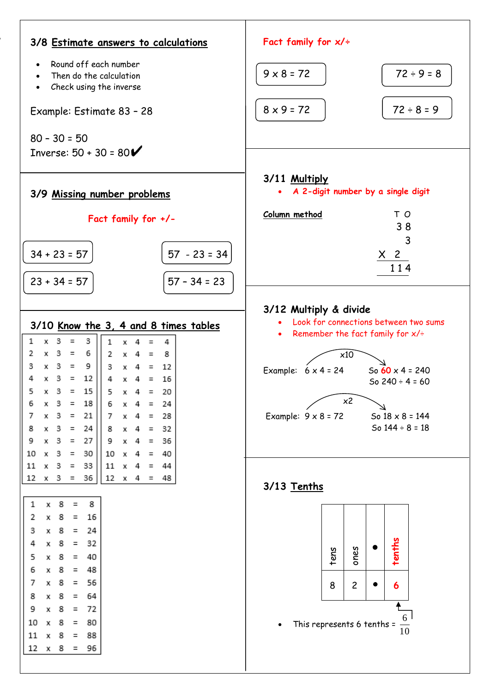| 3/8 Estimate answers to calculations                                                                               | Fact family for $x/\div$                             |  |  |  |  |
|--------------------------------------------------------------------------------------------------------------------|------------------------------------------------------|--|--|--|--|
| Round off each number<br>$\bullet$<br>Then do the calculation<br>$\bullet$<br>Check using the inverse<br>$\bullet$ | $9 \times 8 = 72$<br>$72 \div 9 = 8$                 |  |  |  |  |
| Example: Estimate 83 - 28                                                                                          | $8 \times 9 = 72$<br>$72 \div 8 = 9$                 |  |  |  |  |
| $80 - 30 = 50$<br>Inverse: $50 + 30 = 80$                                                                          |                                                      |  |  |  |  |
|                                                                                                                    | 3/11 Multiply                                        |  |  |  |  |
| 3/9 Missing number problems                                                                                        | A 2-digit number by a single digit                   |  |  |  |  |
| Fact family for +/-                                                                                                | T O<br>Column method                                 |  |  |  |  |
|                                                                                                                    | 38                                                   |  |  |  |  |
|                                                                                                                    | 3                                                    |  |  |  |  |
| $34 + 23 = 57$<br>$57 - 23 = 34$                                                                                   | $\frac{\times 2}{114}$                               |  |  |  |  |
|                                                                                                                    |                                                      |  |  |  |  |
| $23 + 34 = 57$<br>$57 - 34 = 23$                                                                                   |                                                      |  |  |  |  |
|                                                                                                                    |                                                      |  |  |  |  |
|                                                                                                                    | 3/12 Multiply & divide                               |  |  |  |  |
| 3/10 Know the 3, 4 and 8 times tables                                                                              | Look for connections between two sums                |  |  |  |  |
|                                                                                                                    | Remember the fact family for $x/\div$<br>٠           |  |  |  |  |
| 3 <sub>1</sub><br>$x - 3 =$<br>1<br>$\mathbf{1}$<br>$x \quad 4$<br>4<br>$=$                                        |                                                      |  |  |  |  |
| $x - 3 = 6$<br>2<br>$2 \times 4 =$<br>8                                                                            | $\times$ 10                                          |  |  |  |  |
| 3<br>$x - 3 = 9$<br>$3 \times 4 =$<br>12                                                                           | So $60 \times 4 = 240$<br>Example: $6 \times 4 = 24$ |  |  |  |  |
| 12 <br>4<br>$x \quad 3 =$<br>$  4 \times 4 = 16$<br>3                                                              | So $240 \div 4 = 60$                                 |  |  |  |  |
| 5<br>15<br>$\equiv$<br>5<br>20<br>Ξ<br>х<br>18<br>6<br>3<br>24<br>$\equiv$<br>6<br>x                               | $x^2$                                                |  |  |  |  |
| Ξ<br>21<br>з<br>7<br>$\equiv$<br>28<br>7<br>4<br>$\equiv$                                                          | Example: $9 \times 8 = 72$<br>So $18 \times 8 = 144$ |  |  |  |  |
| x<br>8<br>24<br>32<br>з<br>Ξ<br>8                                                                                  | So $144 \div 8 = 18$                                 |  |  |  |  |
| 27<br>9<br>з<br>36<br>$\equiv$<br>9<br>$\equiv$<br>4                                                               |                                                      |  |  |  |  |
| х<br>30<br>10<br>3<br>10<br>40<br>$\equiv$<br>x<br>х<br>4<br>Ξ                                                     |                                                      |  |  |  |  |
| 11<br>33<br>з<br>$\equiv$<br>44<br>11<br>х<br>х<br>Ξ                                                               |                                                      |  |  |  |  |
| 12<br>36<br>48<br>- 3<br>$\equiv$<br>12<br>x<br>х<br>4<br>$\equiv$                                                 |                                                      |  |  |  |  |
|                                                                                                                    | 3/13 Tenths                                          |  |  |  |  |
| 1<br>-8<br>8<br>$\equiv$<br>x                                                                                      |                                                      |  |  |  |  |
| 2<br>8<br>16<br>Ξ<br>х                                                                                             |                                                      |  |  |  |  |
| 8<br>З<br>24<br>х<br>Ξ                                                                                             |                                                      |  |  |  |  |
| 8<br>32<br>4<br>$\equiv$<br>x                                                                                      |                                                      |  |  |  |  |
| 40<br>5<br>8<br>Ξ<br>x                                                                                             | tenths<br>ones<br>tens                               |  |  |  |  |
| 6<br>8<br>48<br>х<br>Ξ                                                                                             |                                                      |  |  |  |  |
| 8<br>56<br>7<br>Ξ<br>х                                                                                             |                                                      |  |  |  |  |
| 64<br>8<br>8<br>Ξ<br>x                                                                                             | $\overline{c}$<br>8<br>6                             |  |  |  |  |
| 72<br>9<br>8<br>x<br>Ξ                                                                                             |                                                      |  |  |  |  |
| 8<br>80<br>10<br>х<br>$\equiv$                                                                                     |                                                      |  |  |  |  |
| 11<br>88<br>8<br>х<br>Ξ                                                                                            | This represents 6 tenths = $\frac{6}{10}$            |  |  |  |  |
| 12<br>96<br>8<br>х<br>Ξ                                                                                            |                                                      |  |  |  |  |
|                                                                                                                    |                                                      |  |  |  |  |
|                                                                                                                    |                                                      |  |  |  |  |

i<br>S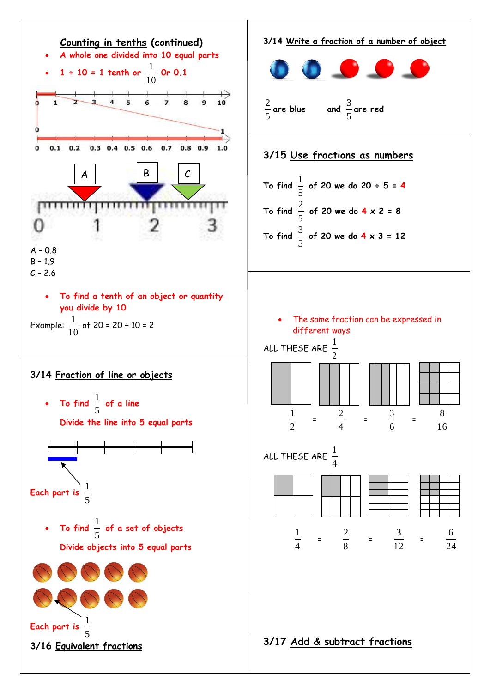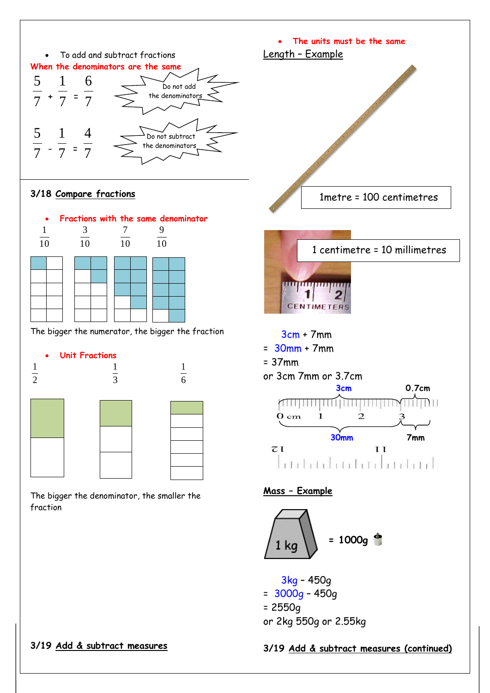

#### **3/18 Compare fractions**



The bigger the numerator, the bigger the fraction









 $\frac{1}{6}$ 1

The bigger the denominator, the smaller the fraction

#### **3/19 Add & subtract measures**



**Mass – Example**



 3kg – 450g = 3000g – 450g = 2550g or 2kg 550g or 2.55kg

**3/19 Add & subtract measures (continued)**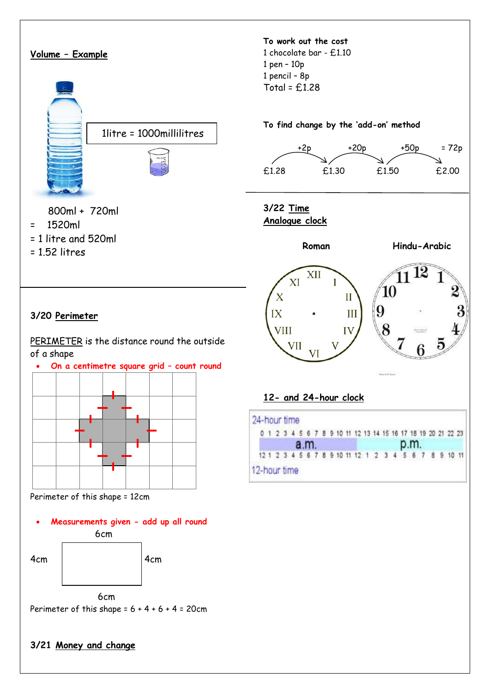

#### **3/20 Perimeter**

PERIMETER is the distance round the outside of a shape



Perimeter of this shape = 12cm

**3/21 Money and change**



 6cm Perimeter of this shape =  $6 + 4 + 6 + 4 = 20$ cm

# VI

**12- and 24-hour clock**

|  |  |  |      |  |  |  |  |  |      |  | 0 1 2 3 4 5 6 7 8 9 10 11 12 13 14 15 16 17 18 19 20 21 22 23 |  |
|--|--|--|------|--|--|--|--|--|------|--|---------------------------------------------------------------|--|
|  |  |  | a.m. |  |  |  |  |  | p.m. |  |                                                               |  |
|  |  |  |      |  |  |  |  |  |      |  | 121 2 3 4 5 6 7 8 9 10 11 12 1 2 3 4 5 6 7 8 9 10 11          |  |

#### **To work out the cost** 1 chocolate bar - £1.10 1 pen – 10p 1 pencil – 8p Total = £1.28

**To find change by the 'add-on' method**



**3/22 Time**



Roman Hindu-Arabic

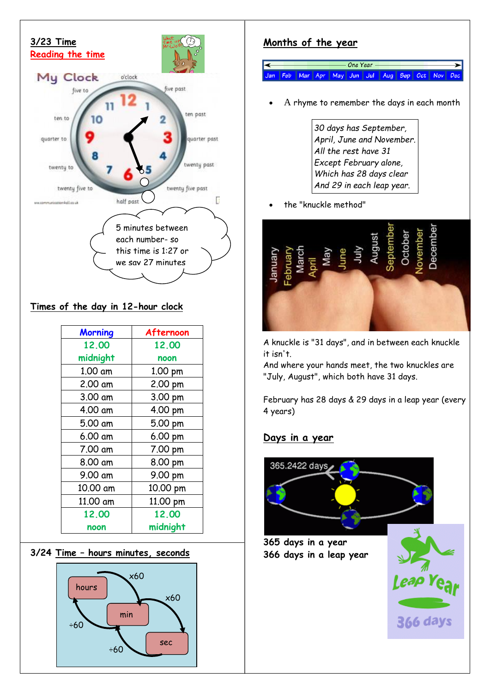

#### **Times of the day in 12-hour clock**

| <b>Morning</b> | Afternoon |
|----------------|-----------|
| 12.00          | 12.00     |
| midnight       | noon      |
| 1.00 am        | 1.00 pm   |
| 2.00 am        | 2.00 pm   |
| 3.00 am        | 3.00 pm   |
| 4.00 am        | 4.00 pm   |
| 5.00 am        | 5.00 pm   |
| 6.00 am        | 6.00 pm   |
| 7.00 am        | 7.00 pm   |
| 8.00 am        | 8.00 pm   |
| 9.00 am        | 9.00 pm   |
| 10.00 am       | 10.00 pm  |
| 11.00 am       | 11.00 pm  |
| 12.00          | 12.00     |
| noon           | midnight  |

#### **3/24 Time – hours minutes, seconds**



### **Months of the year**

#### One Year Mar May Jun Jul Aug Sep Oct Nov Feb Apr Jan

A rhyme to remember the days in each month

*30 days has September, April, June and November. All the rest have 31 Except February alone, Which has 28 days clear And 29 in each leap year.*

the "knuckle method"



A knuckle is "31 days", and in between each knuckle it isn't.

And where your hands meet, the two knuckles are "July, August", which both have 31 days.

February has 28 days & 29 days in a leap year (every 4 years)

#### **Days in a year**



**365 days in a year 366 days in a leap year**

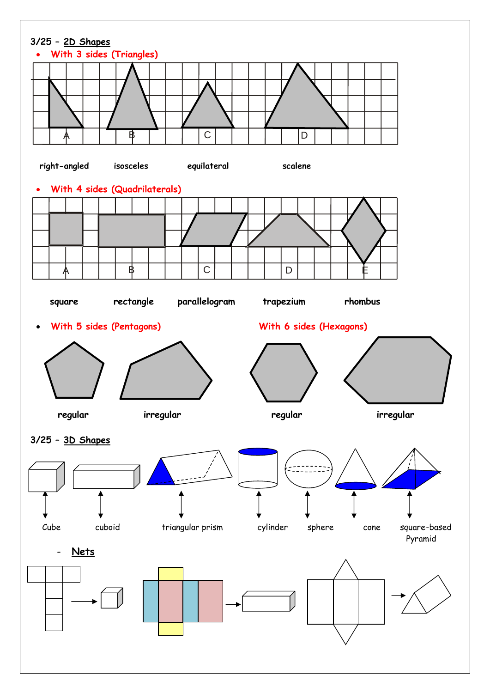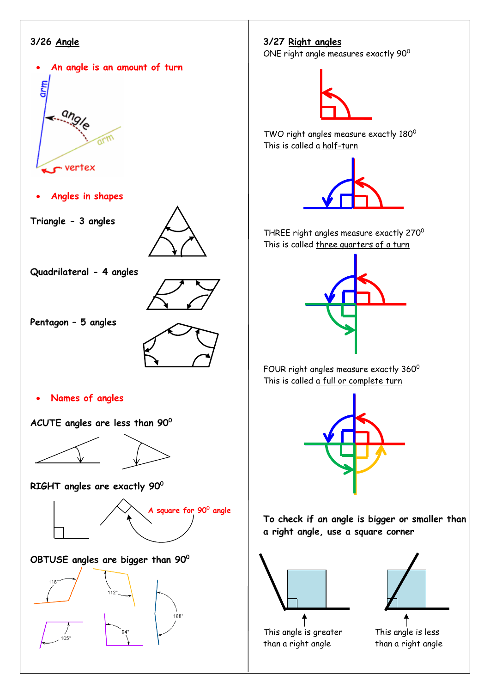![](_page_8_Figure_0.jpeg)

![](_page_8_Figure_1.jpeg)

**3/27 Right angles** ONE right angle measures exactly 90<sup>0</sup>

![](_page_8_Picture_3.jpeg)

TWO right angles measure exactly 180<sup>0</sup> This is called a half-turn

![](_page_8_Picture_5.jpeg)

THREE right angles measure exactly 270<sup>0</sup> This is called three quarters of a turn

![](_page_8_Picture_7.jpeg)

FOUR right angles measure exactly  $360^\circ$ This is called a full or complete turn

![](_page_8_Picture_9.jpeg)

**To check if an angle is bigger or smaller than a right angle, use a square corner**

![](_page_8_Figure_11.jpeg)

![](_page_8_Picture_12.jpeg)

This angle is greater This angle is less than a right angle than a right angle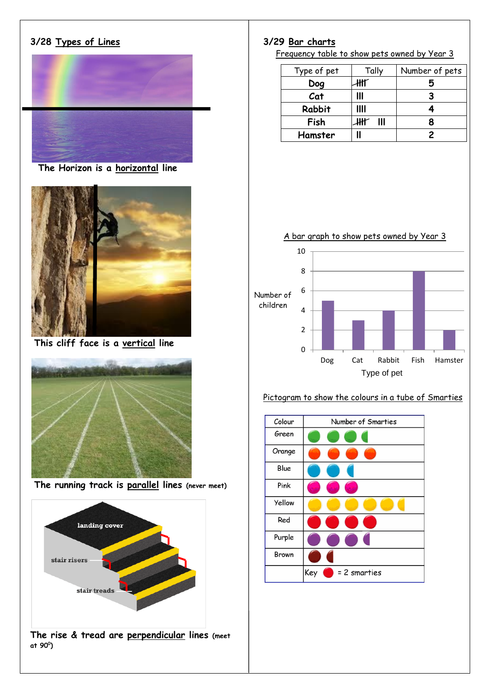#### **3/28 Types of Lines**

![](_page_9_Picture_1.jpeg)

**The Horizon is a horizontal line**

![](_page_9_Picture_3.jpeg)

**This cliff face is a vertical line**

![](_page_9_Picture_5.jpeg)

**The running track is parallel lines (never meet)**

![](_page_9_Figure_7.jpeg)

**The rise & tread are perpendicular lines (meet at 90<sup>0</sup> )**

#### **3/29 Bar charts**

Frequency table to show pets owned by Year 3

| Type of pet | Tally    | Number of pets |
|-------------|----------|----------------|
| Dog         |          | 5              |
| Cat         | Ш        |                |
| Rabbit      | III      |                |
| Fish        | HHT<br>Ш |                |
| Hamster     |          |                |

A bar graph to show pets owned by Year 3

![](_page_9_Figure_13.jpeg)

#### Pictogram to show the colours in a tube of Smarties

![](_page_9_Figure_15.jpeg)